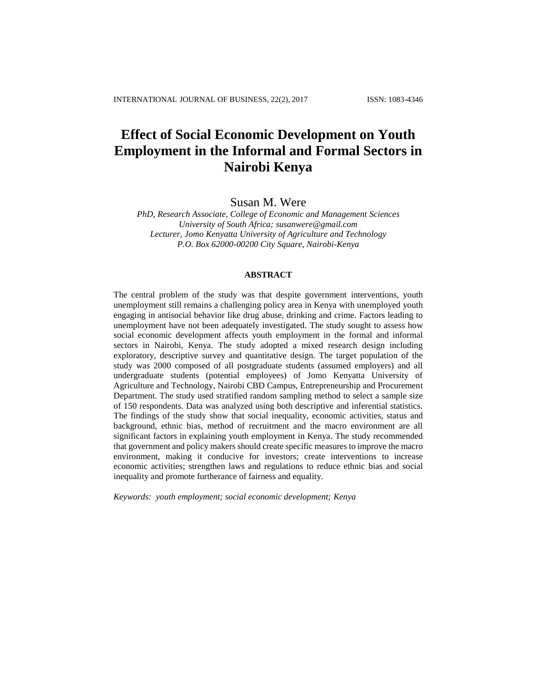# **Effect of Social Economic Development on Youth Employment in the Informal and Formal Sectors in Nairobi Kenya**

Susan M. Were

*PhD, Research Associate, College of Economic and Management Sciences University of South Africa; susanwere@gmail.com Lecturer, Jomo Kenyatta University of Agriculture and Technology P.O. Box 62000-00200 City Square, Nairobi-Kenya*

## **ABSTRACT**

The central problem of the study was that despite government interventions, youth unemployment still remains a challenging policy area in Kenya with unemployed youth engaging in antisocial behavior like drug abuse, drinking and crime. Factors leading to unemployment have not been adequately investigated. The study sought to assess how social economic development affects youth employment in the formal and informal sectors in Nairobi, Kenya. The study adopted a mixed research design including exploratory, descriptive survey and quantitative design. The target population of the study was 2000 composed of all postgraduate students (assumed employers) and all undergraduate students (potential employees) of Jomo Kenyatta University of Agriculture and Technology, Nairobi CBD Campus, Entrepreneurship and Procurement Department. The study used stratified random sampling method to select a sample size of 150 respondents. Data was analyzed using both descriptive and inferential statistics. The findings of the study show that social inequality, economic activities, status and background, ethnic bias, method of recruitment and the macro environment are all significant factors in explaining youth employment in Kenya. The study recommended that government and policy makers should create specific measures to improve the macro environment, making it conducive for investors; create interventions to increase economic activities; strengthen laws and regulations to reduce ethnic bias and social inequality and promote furtherance of fairness and equality.

*Keywords: youth employment; social economic development; Kenya*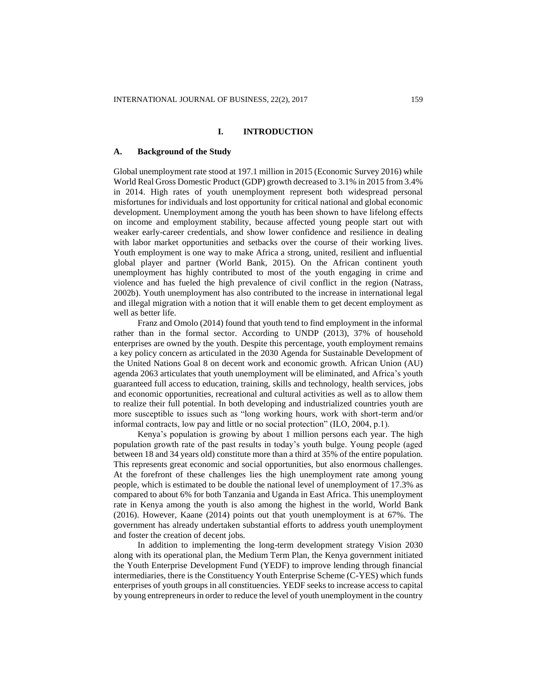## **I. INTRODUCTION**

#### **A. Background of the Study**

Global unemployment rate stood at 197.1 million in 2015 (Economic Survey 2016) while World Real Gross Domestic Product (GDP) growth decreased to 3.1% in 2015 from 3.4% in 2014. High rates of youth unemployment represent both widespread personal misfortunes for individuals and lost opportunity for critical national and global economic development. Unemployment among the youth has been shown to have lifelong effects on income and employment stability, because affected young people start out with weaker early-career credentials, and show lower confidence and resilience in dealing with labor market opportunities and setbacks over the course of their working lives. Youth employment is one way to make Africa a strong, united, resilient and influential global player and partner (World Bank, 2015). On the African continent youth unemployment has highly contributed to most of the youth engaging in crime and violence and has fueled the high prevalence of civil conflict in the region (Natrass, 2002b). Youth unemployment has also contributed to the increase in international legal and illegal migration with a notion that it will enable them to get decent employment as well as better life.

Franz and Omolo (2014) found that youth tend to find employment in the informal rather than in the formal sector. According to UNDP (2013), 37% of household enterprises are owned by the youth. Despite this percentage, youth employment remains a key policy concern as articulated in the 2030 Agenda for Sustainable Development of the United Nations Goal 8 on decent work and economic growth. African Union (AU) agenda 2063 articulates that youth unemployment will be eliminated, and Africa's youth guaranteed full access to education, training, skills and technology, health services, jobs and economic opportunities, recreational and cultural activities as well as to allow them to realize their full potential. In both developing and industrialized countries youth are more susceptible to issues such as "long working hours, work with short-term and/or informal contracts, low pay and little or no social protection" (ILO, 2004, p.1).

Kenya's population is growing by about 1 million persons each year. The high population growth rate of the past results in today's youth bulge. Young people (aged between 18 and 34 years old) constitute more than a third at 35% of the entire population. This represents great economic and social opportunities, but also enormous challenges. At the forefront of these challenges lies the high unemployment rate among young people, which is estimated to be double the national level of unemployment of 17.3% as compared to about 6% for both Tanzania and Uganda in East Africa. This unemployment rate in Kenya among the youth is also among the highest in the world, World Bank (2016). However, Kaane (2014) points out that youth unemployment is at 67%. The government has already undertaken substantial efforts to address youth unemployment and foster the creation of decent jobs.

In addition to implementing the long-term development strategy Vision 2030 along with its operational plan, the Medium Term Plan, the Kenya government initiated the Youth Enterprise Development Fund (YEDF) to improve lending through financial intermediaries, there is the Constituency Youth Enterprise Scheme (C-YES) which funds enterprises of youth groups in all constituencies. YEDF seeks to increase access to capital by young entrepreneurs in order to reduce the level of youth unemployment in the country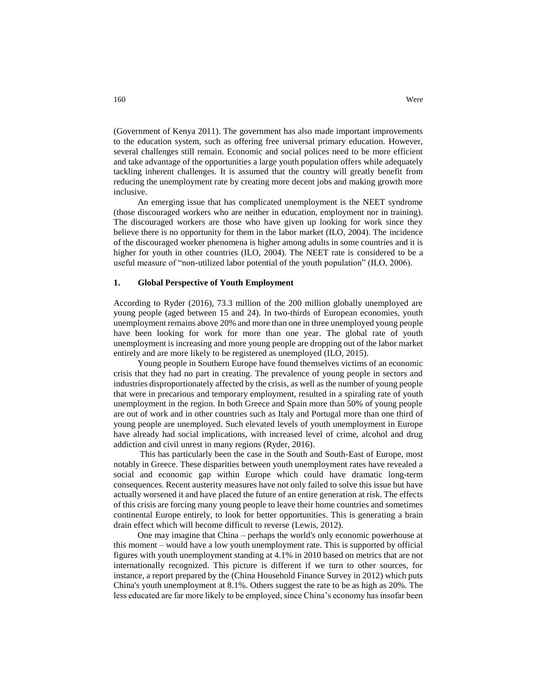(Government of Kenya 2011). The government has also made important improvements to the education system, such as offering free universal primary education. However, several challenges still remain. Economic and social polices need to be more efficient and take advantage of the opportunities a large youth population offers while adequately tackling inherent challenges. It is assumed that the country will greatly benefit from reducing the unemployment rate by creating more decent jobs and making growth more

An emerging issue that has complicated unemployment is the NEET syndrome (those discouraged workers who are neither in education, employment nor in training). The discouraged workers are those who have given up looking for work since they believe there is no opportunity for them in the labor market (ILO, 2004). The incidence of the discouraged worker phenomena is higher among adults in some countries and it is higher for youth in other countries (ILO, 2004). The NEET rate is considered to be a useful measure of "non-utilized labor potential of the youth population" (ILO, 2006).

#### **1. Global Perspective of Youth Employment**

According to Ryder (2016), 73.3 million of the 200 million globally unemployed are young people (aged between 15 and 24). In two-thirds of European economies, youth unemployment remains above 20% and more than one in three unemployed young people have been looking for work for more than one year. The global rate of youth unemployment is increasing and more young people are dropping out of the labor market entirely and are more likely to be registered as unemployed (ILO, 2015).

Young people in Southern Europe have found themselves victims of an economic crisis that they had no part in creating. The prevalence of young people in sectors and industries disproportionately affected by the crisis, as well as the number of young people that were in precarious and temporary employment, resulted in a spiraling rate of youth unemployment in the region. In both Greece and Spain more than 50% of young people are out of work and in other countries such as Italy and Portugal more than one third of young people are unemployed. Such elevated levels of youth unemployment in Europe have already had social implications, with increased level of crime, alcohol and drug addiction and civil unrest in many regions (Ryder, 2016).

This has particularly been the case in the South and South-East of Europe, most notably in Greece. These disparities between youth unemployment rates have revealed a social and economic gap within Europe which could have dramatic long-term consequences. Recent austerity measures have not only failed to solve this issue but have actually worsened it and have placed the future of an entire generation at risk. The effects of this crisis are forcing many young people to leave their home countries and sometimes continental Europe entirely, to look for better opportunities. This is generating a brain drain effect which will become difficult to reverse (Lewis, 2012).

One may imagine that China – perhaps the world's only economic powerhouse at this moment – would have a low youth unemployment rate. This is supported by official figures with youth unemployment standing at 4.1% in 2010 based on metrics that are not internationally recognized. This picture is different if we turn to other sources, for instance, a report prepared by the (China Household Finance Survey in 2012) which puts China's youth unemployment at 8.1%. Others suggest the rate to be as high as 20%. The less educated are far more likely to be employed, since China's economy has insofar been

inclusive.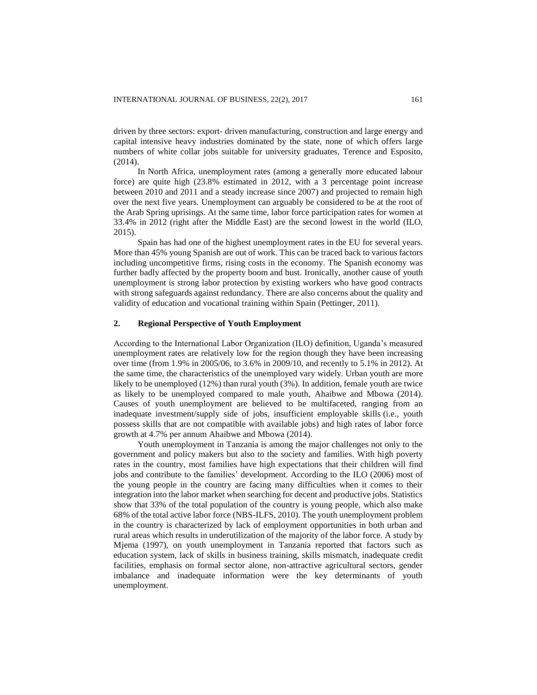driven by three sectors: export- driven manufacturing, construction and large energy and capital intensive heavy industries dominated by the state, none of which offers large numbers of white collar jobs suitable for university graduates, Terence and Esposito, (2014).

In North Africa, unemployment rates (among a generally more educated labour force) are quite high (23.8% estimated in 2012, with a 3 percentage point increase between 2010 and 2011 and a steady increase since 2007) and projected to remain high over the next five years. Unemployment can arguably be considered to be at the root of the Arab Spring uprisings. At the same time, labor force participation rates for women at 33.4% in 2012 (right after the Middle East) are the second lowest in the world (ILO, 2015).

Spain has had one of the highest unemployment rates in the EU for several years. More than 45% young Spanish are out of work. This can be traced back to various factors including uncompetitive firms, rising costs in the economy. The Spanish economy was further badly affected by the property boom and bust. Ironically, another cause of youth unemployment is strong labor protection by existing workers who have good contracts with strong safeguards against redundancy. There are also concerns about the quality and validity of education and vocational training within Spain (Pettinger, 2011).

## **2. Regional Perspective of Youth Employment**

According to the International Labor Organization (ILO) definition, Uganda's measured unemployment rates are relatively low for the region though they have been [increasing](http://www.ubos.org/onlinefiles/uploads/ubos/pdf%20documents/NCLS%20Report%202011_12.pdf)  [over time](http://www.ubos.org/onlinefiles/uploads/ubos/pdf%20documents/NCLS%20Report%202011_12.pdf) (from 1.9% in 2005/06, to 3.6% in 2009/10, and recently to 5.1% in 2012). At the same time, the characteristics of the unemployed vary widely. Urban youth are more likely to be unemployed (12%) than rural youth (3%). In addition, female youth are twice as likely to be unemployed compared to male youth, Ahaibwe and Mbowa (2014). Causes of youth unemployment are believed to be multifaceted, ranging from an [inadequate investment/supply side of jobs, insufficient employable skills](http://npa.ug/wp-content/themes/npatheme/documents/vision2040.pdf) (i.e., youth possess skills that are not compatible with available jobs) and [high rates of labor force](http://www.mglsd.go.ug/wp-content/uploads/2011/04/Employment%20policy1blank.pdf)  [growth at 4.7%](http://www.mglsd.go.ug/wp-content/uploads/2011/04/Employment%20policy1blank.pdf) per annum Ahaibwe and Mbowa (2014).

Youth unemployment in Tanzania is among the major challenges not only to the government and policy makers but also to the society and families. With high poverty rates in the country, most families have high expectations that their children will find jobs and contribute to the families' development. According to the ILO (2006) most of the young people in the country are facing many difficulties when it comes to their integration into the labor market when searching for decent and productive jobs. Statistics show that 33% of the total population of the country is young people, which also make 68% of the total active labor force (NBS-ILFS, 2010). The youth unemployment problem in the country is characterized by lack of employment opportunities in both urban and rural areas which results in underutilization of the majority of the labor force. A study by Mjema (1997), on youth unemployment in Tanzania reported that factors such as education system, lack of skills in business training, skills mismatch, inadequate credit facilities, emphasis on formal sector alone, non-attractive agricultural sectors, gender imbalance and inadequate information were the key determinants of youth unemployment.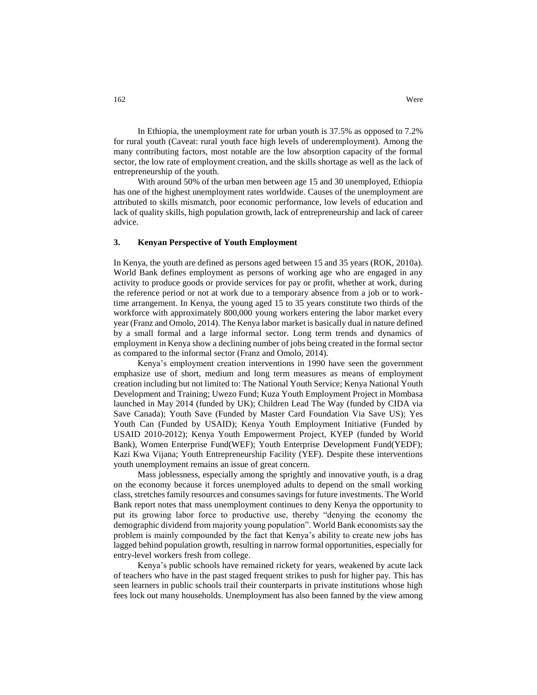In Ethiopia, the unemployment rate for urban youth is 37.5% as opposed to 7.2% for rural youth (Caveat: rural youth face high levels of underemployment). Among the many contributing factors, most notable are the low absorption capacity of the formal sector, the low rate of employment creation, and the skills shortage as well as the lack of entrepreneurship of the youth.

With around 50% of the urban men between age 15 and 30 unemployed, Ethiopia has one of the highest unemployment rates worldwide. Causes of the unemployment are attributed to skills mismatch, poor economic performance, low levels of education and lack of quality skills, high population growth, lack of entrepreneurship and lack of career advice.

#### **3. Kenyan Perspective of Youth Employment**

In Kenya, the youth are defined as persons aged between 15 and 35 years (ROK, 2010a). World Bank defines employment as persons of working age who are engaged in any activity to produce goods or provide services for pay or profit, whether at work, during the reference period or not at work due to a temporary absence from a job or to worktime arrangement. In Kenya, the young aged 15 to 35 years constitute two thirds of the workforce with approximately 800,000 young workers entering the labor market every year (Franz and Omolo, 2014). The Kenya labor market is basically dual in nature defined by a small formal and a large informal sector. Long term trends and dynamics of employment in Kenya show a declining number of jobs being created in the formal sector as compared to the informal sector (Franz and Omolo, 2014).

Kenya's employment creation interventions in 1990 have seen the government emphasize use of short, medium and long term measures as means of employment creation including but not limited to: The National Youth Service; Kenya National Youth Development and Training; Uwezo Fund; Kuza Youth Employment Project in Mombasa launched in May 2014 (funded by UK); Children Lead The Way (funded by CIDA via Save Canada); Youth Save (Funded by Master Card Foundation Via Save US); Yes Youth Can (Funded by USAID); Kenya Youth Employment Initiative (Funded by USAID 2010-2012); Kenya Youth Empowerment Project, KYEP (funded by World Bank), Women Enterprise Fund(WEF); Youth Enterprise Development Fund(YEDF); Kazi Kwa Vijana; Youth Entrepreneurship Facility (YEF). Despite these interventions youth unemployment remains an issue of great concern.

Mass joblessness, especially among the sprightly and innovative youth, is a drag on the economy because it forces unemployed adults to depend on the small working class, stretches family resources and consumes savings for future investments. The World Bank report notes that mass unemployment continues to deny Kenya the opportunity to put its growing labor force to productive use, thereby "denying the economy the demographic dividend from majority young population". World Bank economists say the problem is mainly compounded by the fact that Kenya's ability to create new jobs has lagged behind population growth, resulting in narrow formal opportunities, especially for entry-level workers fresh from college.

Kenya's public schools have remained rickety for years, weakened by acute lack of teachers who have in the past staged frequent strikes to push for higher pay. This has seen learners in public schools trail their counterparts in private institutions whose high fees lock out many households. Unemployment has also been fanned by the view among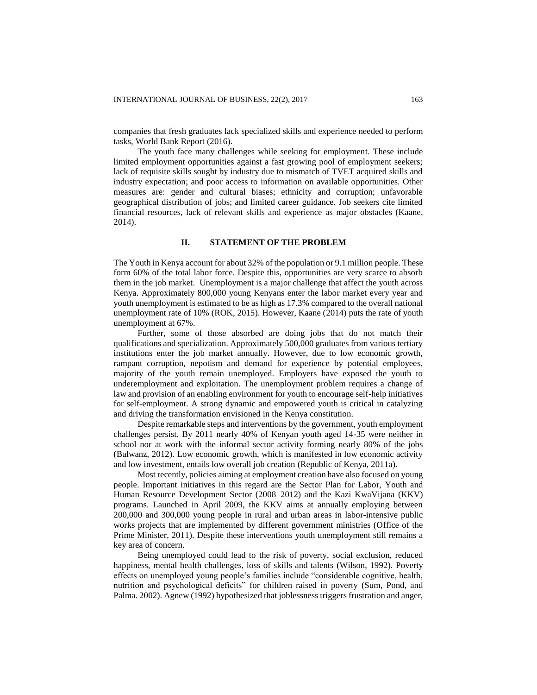companies that fresh graduates lack specialized skills and experience needed to perform tasks, World Bank Report (2016).

The youth face many challenges while seeking for employment. These include limited employment opportunities against a fast growing pool of employment seekers; lack of requisite skills sought by industry due to mismatch of TVET acquired skills and industry expectation; and poor access to information on available opportunities. Other measures are: gender and cultural biases; ethnicity and corruption; unfavorable geographical distribution of jobs; and limited career guidance. Job seekers cite limited financial resources, lack of relevant skills and experience as major obstacles (Kaane, 2014).

## **II. STATEMENT OF THE PROBLEM**

The Youth in Kenya account for about 32% of the population or 9.1 million people. These form 60% of the total labor force. Despite this, opportunities are very scarce to absorb them in the job market. Unemployment is a major challenge that affect the youth across Kenya. Approximately 800,000 young Kenyans enter the labor market every year and youth unemployment is estimated to be as high as 17.3% compared to the overall national unemployment rate of 10% (ROK, 2015). However, Kaane (2014) puts the rate of youth unemployment at 67%.

Further, some of those absorbed are doing jobs that do not match their qualifications and specialization. Approximately 500,000 graduates from various tertiary institutions enter the job market annually. However, due to low economic growth, rampant corruption, nepotism and demand for experience by potential employees, majority of the youth remain unemployed. Employers have exposed the youth to underemployment and exploitation. The unemployment problem requires a change of law and provision of an enabling environment for youth to encourage self-help initiatives for self-employment. A strong dynamic and empowered youth is critical in catalyzing and driving the transformation envisioned in the Kenya constitution.

Despite remarkable steps and interventions by the government, youth employment challenges persist. By 2011 nearly 40% of Kenyan youth aged 14-35 were neither in school nor at work with the informal sector activity forming nearly 80% of the jobs (Balwanz, 2012). Low economic growth, which is manifested in low economic activity and low investment, entails low overall job creation (Republic of Kenya, 2011a).

Most recently, policies aiming at employment creation have also focused on young people. Important initiatives in this regard are the Sector Plan for Labor, Youth and Human Resource Development Sector (2008–2012) and the Kazi KwaVijana (KKV) programs. Launched in April 2009, the KKV aims at annually employing between 200,000 and 300,000 young people in rural and urban areas in labor-intensive public works projects that are implemented by different government ministries (Office of the Prime Minister, 2011). Despite these interventions youth unemployment still remains a key area of concern.

Being unemployed could lead to the risk of poverty, social exclusion, reduced happiness, mental health challenges, loss of skills and talents (Wilson, 1992). Poverty effects on unemployed young people's families include "considerable cognitive, health, nutrition and psychological deficits" for children raised in poverty (Sum, Pond, and Palma. 2002). Agnew (1992) hypothesized that joblessness triggers frustration and anger,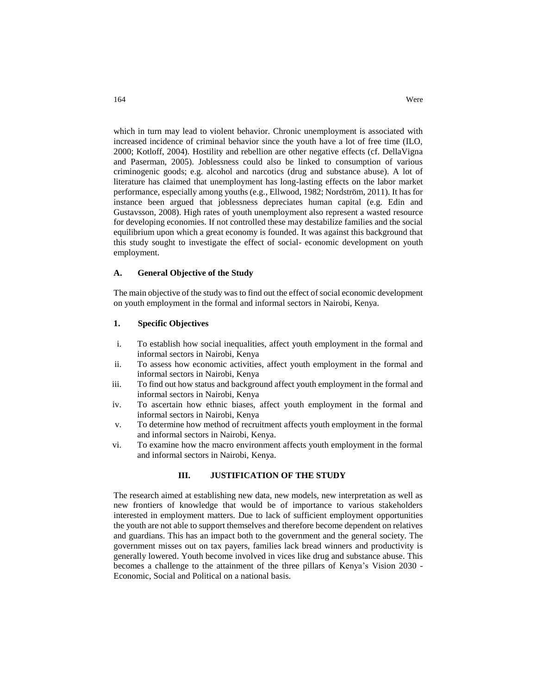which in turn may lead to violent behavior. Chronic unemployment is associated with increased incidence of criminal behavior since the youth have a lot of free time (ILO, 2000; Kotloff, 2004). Hostility and rebellion are other negative effects (cf. DellaVigna and Paserman, 2005). Joblessness could also be linked to consumption of various criminogenic goods; e.g. alcohol and narcotics (drug and substance abuse). A lot of literature has claimed that unemployment has long-lasting effects on the labor market performance, especially among youths (e.g., Ellwood, 1982; Nordström, 2011). It has for instance been argued that joblessness depreciates human capital (e.g. Edin and Gustavsson, 2008). High rates of youth unemployment also represent a wasted resource for developing economies. If not controlled these may destabilize families and the social equilibrium upon which a great economy is founded. It was against this background that this study sought to investigate the effect of social- economic development on youth employment.

#### **A. General Objective of the Study**

The main objective of the study was to find out the effect of social economic development on youth employment in the formal and informal sectors in Nairobi, Kenya.

## **1. Specific Objectives**

- i. To establish how social inequalities, affect youth employment in the formal and informal sectors in Nairobi, Kenya
- ii. To assess how economic activities, affect youth employment in the formal and informal sectors in Nairobi, Kenya
- iii. To find out how status and background affect youth employment in the formal and informal sectors in Nairobi, Kenya
- iv. To ascertain how ethnic biases, affect youth employment in the formal and informal sectors in Nairobi, Kenya
- v. To determine how method of recruitment affects youth employment in the formal and informal sectors in Nairobi, Kenya.
- vi. To examine how the macro environment affects youth employment in the formal and informal sectors in Nairobi, Kenya.

# **III. JUSTIFICATION OF THE STUDY**

The research aimed at establishing new data, new models, new interpretation as well as new frontiers of knowledge that would be of importance to various stakeholders interested in employment matters. Due to lack of sufficient employment opportunities the youth are not able to support themselves and therefore become dependent on relatives and guardians. This has an impact both to the government and the general society. The government misses out on tax payers, families lack bread winners and productivity is generally lowered. Youth become involved in vices like drug and substance abuse. This becomes a challenge to the attainment of the three pillars of Kenya's Vision 2030 - Economic, Social and Political on a national basis.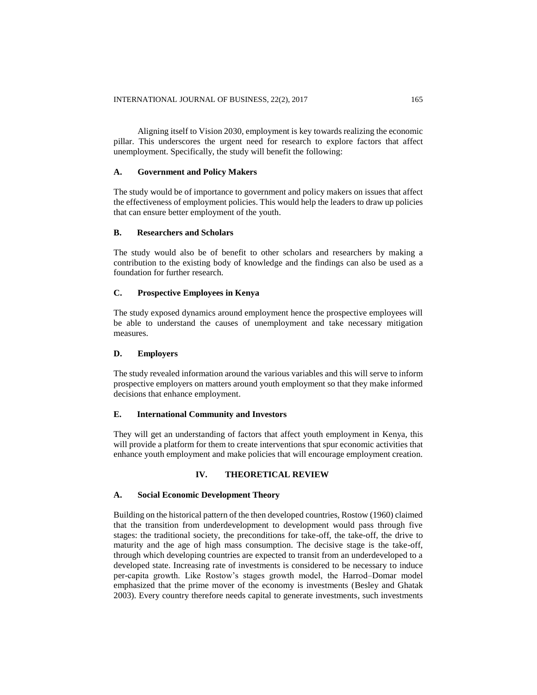Aligning itself to Vision 2030, employment is key towards realizing the economic pillar. This underscores the urgent need for research to explore factors that affect unemployment. Specifically, the study will benefit the following:

## **A. Government and Policy Makers**

The study would be of importance to government and policy makers on issues that affect the effectiveness of employment policies. This would help the leaders to draw up policies that can ensure better employment of the youth.

## **B. Researchers and Scholars**

The study would also be of benefit to other scholars and researchers by making a contribution to the existing body of knowledge and the findings can also be used as a foundation for further research.

## **C. Prospective Employees in Kenya**

The study exposed dynamics around employment hence the prospective employees will be able to understand the causes of unemployment and take necessary mitigation measures.

#### **D. Employers**

The study revealed information around the various variables and this will serve to inform prospective employers on matters around youth employment so that they make informed decisions that enhance employment.

#### **E. International Community and Investors**

They will get an understanding of factors that affect youth employment in Kenya, this will provide a platform for them to create interventions that spur economic activities that enhance youth employment and make policies that will encourage employment creation.

#### **IV. THEORETICAL REVIEW**

#### **A. Social Economic Development Theory**

Building on the historical pattern of the then developed countries, Rostow (1960) claimed that the transition from underdevelopment to development would pass through five stages: the traditional society, the preconditions for take-off, the take-off, the drive to maturity and the age of high mass consumption. The decisive stage is the take-off, through which developing countries are expected to transit from an underdeveloped to a developed state. Increasing rate of investments is considered to be necessary to induce per-capita growth. Like Rostow's stages growth model, the Harrod–Domar model emphasized that the prime mover of the economy is investments (Besley and Ghatak 2003). Every country therefore needs capital to generate investments, such investments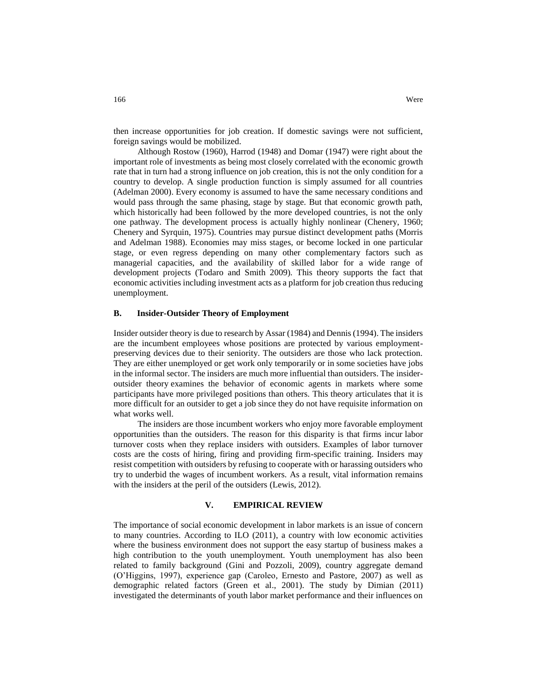then increase opportunities for job creation. If domestic savings were not sufficient, foreign savings would be mobilized.

Although Rostow (1960), Harrod (1948) and Domar (1947) were right about the important role of investments as being most closely correlated with the economic growth rate that in turn had a strong influence on job creation, this is not the only condition for a country to develop. A single production function is simply assumed for all countries (Adelman 2000). Every economy is assumed to have the same necessary conditions and would pass through the same phasing, stage by stage. But that economic growth path, which historically had been followed by the more developed countries, is not the only one pathway. The development process is actually highly nonlinear (Chenery, 1960; Chenery and Syrquin, 1975). Countries may pursue distinct development paths (Morris and Adelman 1988). Economies may miss stages, or become locked in one particular stage, or even regress depending on many other complementary factors such as managerial capacities, and the availability of skilled labor for a wide range of development projects (Todaro and Smith 2009). This theory supports the fact that economic activities including investment acts as a platform for job creation thus reducing unemployment.

## **B. Insider-Outsider Theory of Employment**

Insider outsider theory is due to research by Assar (1984) and Dennis(1994). The insiders are the incumbent employees whose positions are protected by various employmentpreserving devices due to their seniority. The outsiders are those who lack protection. They are either unemployed or get work only temporarily or in some societies have jobs in the informal sector. The insiders are much more influential than outsiders. The insideroutsider theory examines the behavior of economic agents in markets where some participants have more privileged positions than others. This theory articulates that it is more difficult for an outsider to get a job since they do not have requisite information on what works well.

The insiders are those incumbent workers who enjoy more favorable employment opportunities than the outsiders. The reason for this disparity is that firms incur labor turnover costs when they replace insiders with outsiders. Examples of labor turnover costs are the costs of hiring, firing and providing firm-specific training. Insiders may resist competition with outsiders by refusing to cooperate with or harassing outsiders who try to underbid the wages of incumbent workers. As a result, vital information remains with the insiders at the peril of the outsiders (Lewis, 2012).

#### **V. EMPIRICAL REVIEW**

The importance of social economic development in labor markets is an issue of concern to many countries. According to ILO (2011), a country with low economic activities where the business environment does not support the easy startup of business makes a high contribution to the youth unemployment. Youth unemployment has also been related to family background (Gini and Pozzoli, 2009), country aggregate demand (O'Higgins, 1997), experience gap (Caroleo, Ernesto and Pastore, 2007) as well as demographic related factors (Green et al., 2001). The study by Dimian (2011) investigated the determinants of youth labor market performance and their influences on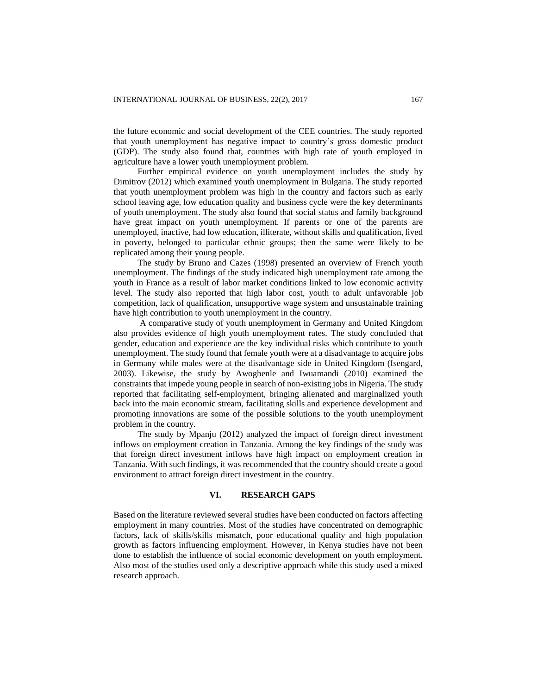the future economic and social development of the CEE countries. The study reported that youth unemployment has negative impact to country's gross domestic product (GDP). The study also found that, countries with high rate of youth employed in agriculture have a lower youth unemployment problem.

Further empirical evidence on youth unemployment includes the study by Dimitrov (2012) which examined youth unemployment in Bulgaria. The study reported that youth unemployment problem was high in the country and factors such as early school leaving age, low education quality and business cycle were the key determinants of youth unemployment. The study also found that social status and family background have great impact on youth unemployment. If parents or one of the parents are unemployed, inactive, had low education, illiterate, without skills and qualification, lived in poverty, belonged to particular ethnic groups; then the same were likely to be replicated among their young people.

The study by Bruno and Cazes (1998) presented an overview of French youth unemployment. The findings of the study indicated high unemployment rate among the youth in France as a result of labor market conditions linked to low economic activity level. The study also reported that high labor cost, youth to adult unfavorable job competition, lack of qualification, unsupportive wage system and unsustainable training have high contribution to youth unemployment in the country.

A comparative study of youth unemployment in Germany and United Kingdom also provides evidence of high youth unemployment rates. The study concluded that gender, education and experience are the key individual risks which contribute to youth unemployment. The study found that female youth were at a disadvantage to acquire jobs in Germany while males were at the disadvantage side in United Kingdom (Isengard, 2003). Likewise, the study by Awogbenle and Iwuamandi (2010) examined the constraints that impede young people in search of non-existing jobs in Nigeria. The study reported that facilitating self-employment, bringing alienated and marginalized youth back into the main economic stream, facilitating skills and experience development and promoting innovations are some of the possible solutions to the youth unemployment problem in the country.

The study by Mpanju (2012) analyzed the impact of foreign direct investment inflows on employment creation in Tanzania. Among the key findings of the study was that foreign direct investment inflows have high impact on employment creation in Tanzania. With such findings, it was recommended that the country should create a good environment to attract foreign direct investment in the country.

## **VI. RESEARCH GAPS**

Based on the literature reviewed several studies have been conducted on factors affecting employment in many countries. Most of the studies have concentrated on demographic factors, lack of skills/skills mismatch, poor educational quality and high population growth as factors influencing employment. However, in Kenya studies have not been done to establish the influence of social economic development on youth employment. Also most of the studies used only a descriptive approach while this study used a mixed research approach.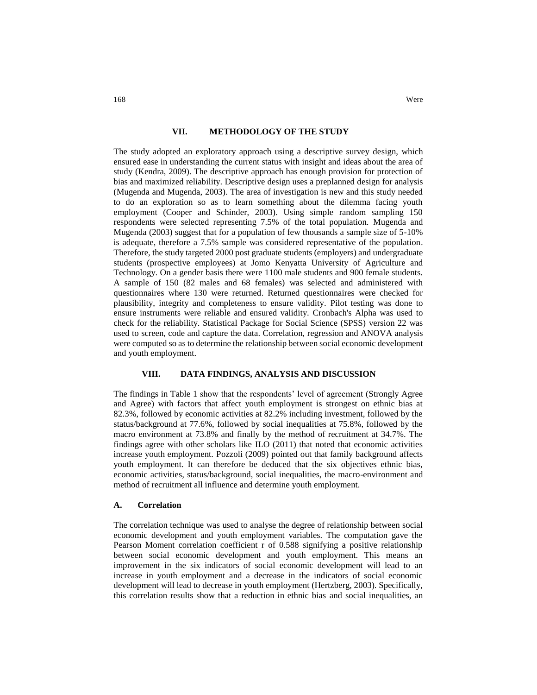## **VII. METHODOLOGY OF THE STUDY**

The study adopted an exploratory approach using a descriptive survey design, which ensured ease in understanding the current status with insight and ideas about the area of study (Kendra, 2009). The descriptive approach has enough provision for protection of bias and maximized reliability. Descriptive design uses a preplanned design for analysis (Mugenda and Mugenda, 2003). The area of investigation is new and this study needed to do an exploration so as to learn something about the dilemma facing youth employment (Cooper and Schinder, 2003). Using simple random sampling 150 respondents were selected representing 7.5% of the total population. Mugenda and Mugenda (2003) suggest that for a population of few thousands a sample size of 5-10% is adequate, therefore a 7.5% sample was considered representative of the population. Therefore, the study targeted 2000 post graduate students (employers) and undergraduate students (prospective employees) at Jomo Kenyatta University of Agriculture and Technology. On a gender basis there were 1100 male students and 900 female students. A sample of 150 (82 males and 68 females) was selected and administered with questionnaires where 130 were returned. Returned questionnaires were checked for plausibility, integrity and completeness to ensure validity. Pilot testing was done to ensure instruments were reliable and ensured validity. Cronbach's Alpha was used to check for the reliability. Statistical Package for Social Science (SPSS) version 22 was used to screen, code and capture the data. Correlation, regression and ANOVA analysis were computed so as to determine the relationship between social economic development and youth employment.

## **VIII. DATA FINDINGS, ANALYSIS AND DISCUSSION**

The findings in Table 1 show that the respondents' level of agreement (Strongly Agree and Agree) with factors that affect youth employment is strongest on ethnic bias at 82.3%, followed by economic activities at 82.2% including investment, followed by the status/background at 77.6%, followed by social inequalities at 75.8%, followed by the macro environment at 73.8% and finally by the method of recruitment at 34.7%. The findings agree with other scholars like ILO (2011) that noted that economic activities increase youth employment. Pozzoli (2009) pointed out that family background affects youth employment. It can therefore be deduced that the six objectives ethnic bias, economic activities, status/background, social inequalities, the macro-environment and method of recruitment all influence and determine youth employment.

#### **A. Correlation**

The correlation technique was used to analyse the degree of relationship between social economic development and youth employment variables. The computation gave the Pearson Moment correlation coefficient r of 0.588 signifying a positive relationship between social economic development and youth employment. This means an improvement in the six indicators of social economic development will lead to an increase in youth employment and a decrease in the indicators of social economic development will lead to decrease in youth employment (Hertzberg, 2003). Specifically, this correlation results show that a reduction in ethnic bias and social inequalities, an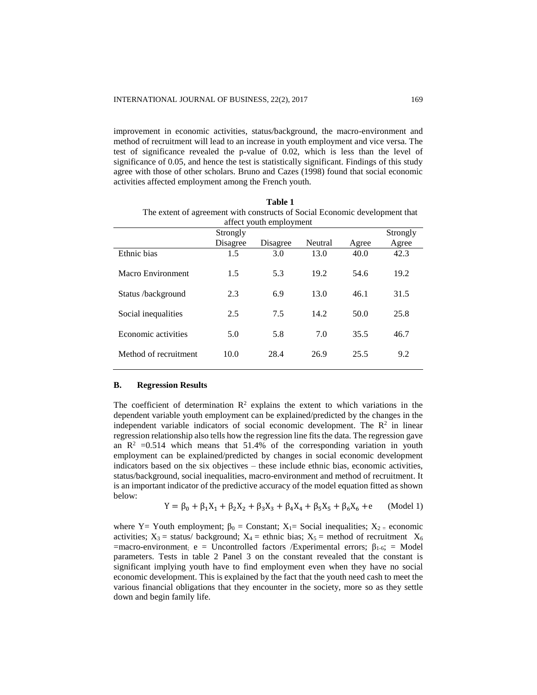improvement in economic activities, status/background, the macro-environment and method of recruitment will lead to an increase in youth employment and vice versa. The test of significance revealed the p-value of 0.02, which is less than the level of significance of 0.05, and hence the test is statistically significant. Findings of this study agree with those of other scholars. Bruno and Cazes (1998) found that social economic activities affected employment among the French youth.

| The extent of agreement with constructs of bochar Leonomic development that<br>affect youth employment |          |          |         |       |       |  |  |  |
|--------------------------------------------------------------------------------------------------------|----------|----------|---------|-------|-------|--|--|--|
|                                                                                                        | Strongly | Strongly |         |       |       |  |  |  |
|                                                                                                        | Disagree | Disagree | Neutral | Agree | Agree |  |  |  |
| Ethnic bias                                                                                            | 1.5      | 3.0      | 13.0    | 40.0  | 42.3  |  |  |  |
| Macro Environment                                                                                      | 1.5      | 5.3      | 19.2    | 54.6  | 19.2  |  |  |  |
| Status /background                                                                                     | 2.3      | 6.9      | 13.0    | 46.1  | 31.5  |  |  |  |
| Social inequalities                                                                                    | 2.5      | 7.5      | 14.2    | 50.0  | 25.8  |  |  |  |
| Economic activities                                                                                    | 5.0      | 5.8      | 7.0     | 35.5  | 46.7  |  |  |  |
| Method of recruitment                                                                                  | 10.0     | 28.4     | 26.9    | 25.5  | 9.2   |  |  |  |

**Table 1** The extent of agreement with constructs of Social Economic development that

## **B. Regression Results**

The coefficient of determination  $\mathbb{R}^2$  explains the extent to which variations in the dependent variable youth employment can be explained/predicted by the changes in the independent variable indicators of social economic development. The  $\mathbb{R}^2$  in linear regression relationship also tells how the regression line fits the data. The regression gave an  $\mathbb{R}^2$  =0.514 which means that 51.4% of the corresponding variation in youth employment can be explained/predicted by changes in social economic development indicators based on the six objectives – these include ethnic bias, economic activities, status/background, social inequalities, macro-environment and method of recruitment. It is an important indicator of the predictive accuracy of the model equation fitted as shown below:

$$
Y = \beta_0 + \beta_1 X_1 + \beta_2 X_2 + \beta_3 X_3 + \beta_4 X_4 + \beta_5 X_5 + \beta_6 X_6 + e \qquad \text{(Model 1)}
$$

where Y= Youth employment;  $\beta_0 =$  Constant; X<sub>1</sub>= Social inequalities; X<sub>2</sub> = economic activities;  $X_3$  = status/ background;  $X_4$  = ethnic bias;  $X_5$  = method of recruitment  $X_6$  $=$ macro-environment; e  $=$  Uncontrolled factors /Experimental errors;  $\beta_{1-6}$ ;  $=$  Model parameters. Tests in table 2 Panel 3 on the constant revealed that the constant is significant implying youth have to find employment even when they have no social economic development. This is explained by the fact that the youth need cash to meet the various financial obligations that they encounter in the society, more so as they settle down and begin family life.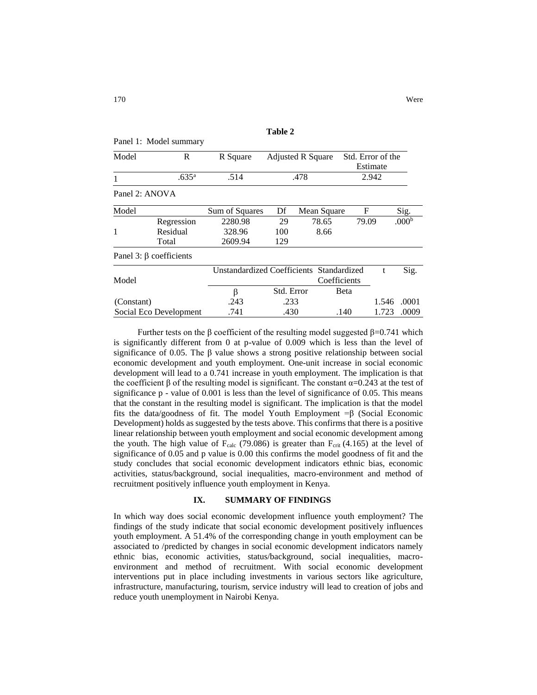| R                             | R Square       | <b>Adjusted R Square</b> |       | Std. Error of the<br>Estimate |                                                                         |                   |
|-------------------------------|----------------|--------------------------|-------|-------------------------------|-------------------------------------------------------------------------|-------------------|
| .635 <sup>a</sup>             | .514           | .478                     |       | 2.942                         |                                                                         |                   |
| Panel 2: ANOVA                |                |                          |       |                               |                                                                         |                   |
|                               | Sum of Squares | Df                       |       | F                             |                                                                         | Sig.              |
| Regression                    | 2280.98        | 29                       | 78.65 | 79.09                         |                                                                         | .000 <sup>b</sup> |
| Residual                      | 328.96         | 100                      | 8.66  |                               |                                                                         |                   |
| Total                         | 2609.94        | 129                      |       |                               |                                                                         |                   |
| Panel 3: $\beta$ coefficients |                |                          |       |                               |                                                                         |                   |
|                               |                |                          |       |                               | t                                                                       | Sig.              |
|                               |                |                          |       |                               |                                                                         |                   |
|                               |                | Panel 1: Model summary   |       |                               | Mean Square<br>Unstandardized Coefficients Standardized<br>Coefficients |                   |

| r alier <i>J. p</i> coefficients |                                          |            |              |       |             |
|----------------------------------|------------------------------------------|------------|--------------|-------|-------------|
|                                  | Unstandardized Coefficients Standardized |            |              |       | Sig.        |
| Model                            |                                          |            | Coefficients |       |             |
|                                  |                                          | Std. Error | <b>B</b> eta |       |             |
| (Constant)                       | .243                                     | .233       |              |       | 1.546 .0001 |
| Social Eco Development           | .741                                     | .430       | .140         | 1.723 | .0009       |

Further tests on the β coefficient of the resulting model suggested  $β=0.741$  which is significantly different from 0 at p-value of 0.009 which is less than the level of significance of 0.05. The  $\beta$  value shows a strong positive relationship between social economic development and youth employment. One-unit increase in social economic development will lead to a 0.741 increase in youth employment. The implication is that the coefficient  $\beta$  of the resulting model is significant. The constant  $\alpha$ =0.243 at the test of significance p - value of 0.001 is less than the level of significance of 0.05. This means that the constant in the resulting model is significant. The implication is that the model fits the data/goodness of fit. The model Youth Employment =β (Social Economic Development) holds as suggested by the tests above. This confirms that there is a positive linear relationship between youth employment and social economic development among the youth. The high value of  $F_{calc}$  (79.086) is greater than  $F_{crit}$  (4.165) at the level of significance of 0.05 and p value is 0.00 this confirms the model goodness of fit and the study concludes that social economic development indicators ethnic bias, economic activities, status/background, social inequalities, macro-environment and method of recruitment positively influence youth employment in Kenya.

## **IX. SUMMARY OF FINDINGS**

In which way does social economic development influence youth employment? The findings of the study indicate that social economic development positively influences youth employment. A 51.4% of the corresponding change in youth employment can be associated to /predicted by changes in social economic development indicators namely ethnic bias, economic activities, status/background, social inequalities, macroenvironment and method of recruitment. With social economic development interventions put in place including investments in various sectors like agriculture, infrastructure, manufacturing, tourism, service industry will lead to creation of jobs and reduce youth unemployment in Nairobi Kenya.

**Table 2**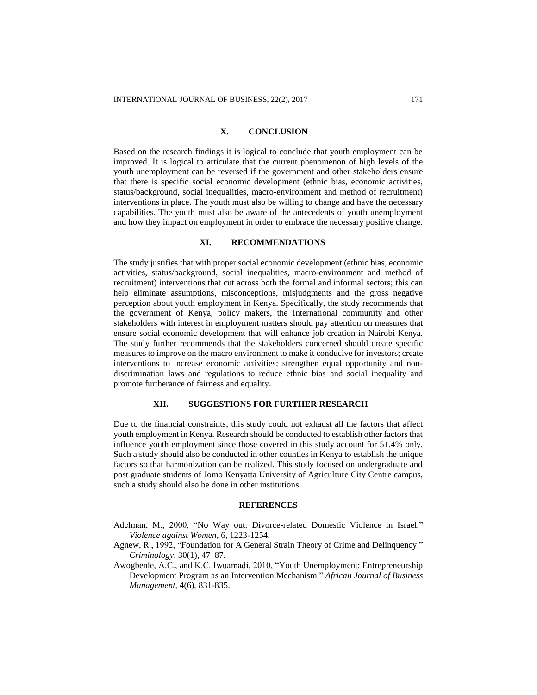## **X. CONCLUSION**

Based on the research findings it is logical to conclude that youth employment can be improved. It is logical to articulate that the current phenomenon of high levels of the youth unemployment can be reversed if the government and other stakeholders ensure that there is specific social economic development (ethnic bias, economic activities, status/background, social inequalities, macro-environment and method of recruitment) interventions in place. The youth must also be willing to change and have the necessary capabilities. The youth must also be aware of the antecedents of youth unemployment and how they impact on employment in order to embrace the necessary positive change.

#### **XI. RECOMMENDATIONS**

The study justifies that with proper social economic development (ethnic bias, economic activities, status/background, social inequalities, macro-environment and method of recruitment) interventions that cut across both the formal and informal sectors; this can help eliminate assumptions, misconceptions, misjudgments and the gross negative perception about youth employment in Kenya. Specifically, the study recommends that the government of Kenya, policy makers, the International community and other stakeholders with interest in employment matters should pay attention on measures that ensure social economic development that will enhance job creation in Nairobi Kenya. The study further recommends that the stakeholders concerned should create specific measures to improve on the macro environment to make it conducive for investors; create interventions to increase economic activities; strengthen equal opportunity and nondiscrimination laws and regulations to reduce ethnic bias and social inequality and promote furtherance of fairness and equality.

#### **XII. SUGGESTIONS FOR FURTHER RESEARCH**

Due to the financial constraints, this study could not exhaust all the factors that affect youth employment in Kenya. Research should be conducted to establish other factors that influence youth employment since those covered in this study account for 51.4% only. Such a study should also be conducted in other counties in Kenya to establish the unique factors so that harmonization can be realized. This study focused on undergraduate and post graduate students of Jomo Kenyatta University of Agriculture City Centre campus, such a study should also be done in other institutions.

#### **REFERENCES**

- Adelman, M., 2000, "No Way out: Divorce-related Domestic Violence in Israel." *Violence against Women*, 6, 1223-1254.
- Agnew, R., 1992, "Foundation for A General Strain Theory of Crime and Delinquency." *Criminology*, 30(1), 47–87.
- Awogbenle, A.C., and K.C. Iwuamadi, 2010, "Youth Unemployment: Entrepreneurship Development Program as an Intervention Mechanism." *African Journal of Business Management*, 4(6), 831-835.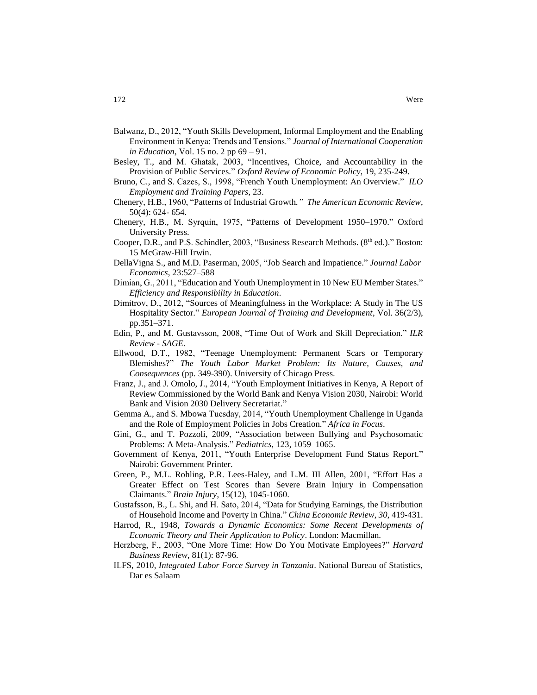- Balwanz, D., 2012, "Youth Skills Development, Informal Employment and the Enabling Environment in Kenya: Trends and Tensions." *Journal of International Cooperation in Education*, Vol. 15 no. 2 pp 69 – 91.
- Besley, T., and M. Ghatak, 2003, "Incentives, Choice, and Accountability in the Provision of Public Services." *Oxford Review of Economic Policy*, 19, 235-249.
- Bruno, C., and S. Cazes, S., 1998, "French Youth Unemployment: An Overview." *ILO Employment and Training Papers*, 23.
- Chenery, H.B., 1960, "Patterns of Industrial Growth*." The American Economic Review*, 50(4): 624- 654.
- Chenery, H.B., M. Syrquin, 1975, "Patterns of Development 1950–1970." Oxford University Press.
- Cooper, D.R., and P.S. Schindler, 2003, "Business Research Methods. (8<sup>th</sup> ed.)." Boston: 15 McGraw-Hill Irwin.
- DellaVigna S., and M.D. Paserman, 2005, "Job Search and Impatience." *Journal Labor Economics*, 23:527–588
- Dimian, G., 2011, "Education and Youth Unemployment in 10 New EU Member States." *Efficiency and Responsibility in Education*.
- Dimitrov, D., 2012, "Sources of Meaningfulness in the Workplace: A Study in The US Hospitality Sector." *European Journal of Training and Development*, Vol. 36(2/3), pp.351–371.
- Edin, P., and M. Gustavsson, 2008, "Time Out of Work and Skill Depreciation." *ILR Review - SAGE.*
- Ellwood, D.T., 1982, "Teenage Unemployment: Permanent Scars or Temporary Blemishes?" *The Youth Labor Market Problem: Its Nature, Causes, and Consequences* (pp. 349-390). University of Chicago Press.
- Franz, J., and J. Omolo, J., 2014, "Youth Employment Initiatives in Kenya, A Report of Review Commissioned by the World Bank and Kenya Vision 2030, Nairobi: World Bank and Vision 2030 Delivery Secretariat."
- Gemma A., and S. Mbowa Tuesday, 2014, "Youth Unemployment Challenge in Uganda and the Role of Employment Policies in Jobs Creation." *Africa in Focus*.
- Gini, G., and T. Pozzoli, 2009, "Association between Bullying and Psychosomatic Problems: A Meta-Analysis." *Pediatrics*, 123, 1059–1065.
- Government of Kenya, 2011, "Youth Enterprise Development Fund Status Report." Nairobi: Government Printer.
- Green, P., M.L. Rohling, P.R. Lees-Haley, and L.M. III Allen, 2001, "Effort Has a Greater Effect on Test Scores than Severe Brain Injury in Compensation Claimants." *Brain Injury*, 15(12), 1045-1060.
- Gustafsson, B., L. Shi, and H. Sato, 2014, "Data for Studying Earnings, the Distribution of Household Income and Poverty in China." *China Economic Review*, *30*, 419-431.
- Harrod, R., 1948, *Towards a Dynamic Economics: Some Recent Developments of Economic Theory and Their Application to Policy*. London: Macmillan.
- Herzberg, F., 2003, "One More Time: How Do You Motivate Employees?" *Harvard Business Review*, 81(1): 87-96.
- ILFS, 2010, *Integrated Labor Force Survey in Tanzania*. National Bureau of Statistics, Dar es Salaam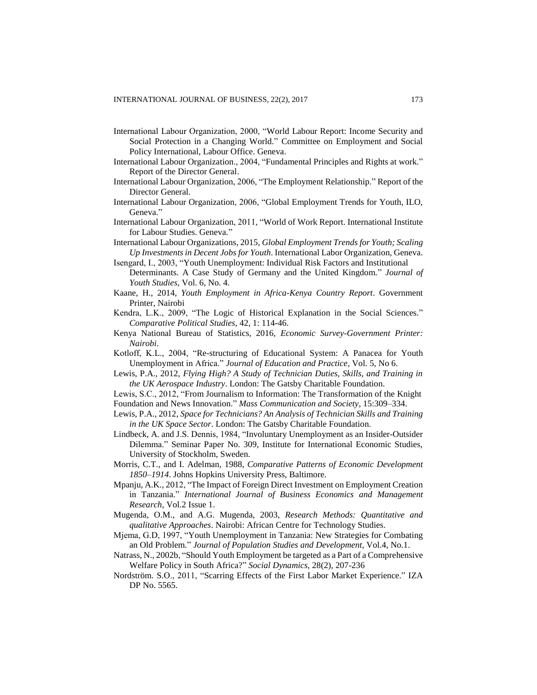- International Labour Organization, 2000, "World Labour Report: Income Security and Social Protection in a Changing World." Committee on Employment and Social Policy International, Labour Office. Geneva.
- International Labour Organization., 2004, "Fundamental Principles and Rights at work." Report of the Director General.
- International Labour Organization, 2006, "The Employment Relationship." Report of the Director General.
- International Labour Organization, 2006, "Global Employment Trends for Youth, ILO, Geneva."
- International Labour Organization, 2011, "World of Work Report. International Institute for Labour Studies. Geneva."
- International Labour Organizations, 2015, *Global Employment Trends for Youth; Scaling Up Investments in Decent Jobs for Youth*. International Labor Organization, Geneva. Isengard, I., 2003, "Youth Unemployment: Individual Risk Factors and Institutional
- Determinants. A Case Study of Germany and the United Kingdom." *Journal of Youth Studies*, Vol. 6, No. 4.
- Kaane, H., 2014, *Youth Employment in Africa-Kenya Country Report*. Government Printer, Nairobi
- Kendra, L.K., 2009, "The Logic of Historical Explanation in the Social Sciences." *Comparative Political Studies*, 42, 1: 114-46.
- Kenya National Bureau of Statistics, 2016, *Economic Survey-Government Printer: Nairobi*.
- Kotloff, K.L., 2004, "Re-structuring of Educational System: A Panacea for Youth Unemployment in Africa." *Journal of Education and Practice*, Vol. 5, No 6.
- Lewis, P.A., 2012, *Flying High? A Study of Technician Duties, Skills, and Training in the UK Aerospace Industry*. London: The Gatsby Charitable Foundation.
- Lewis, S.C., 2012, "From Journalism to Information: The Transformation of the Knight
- Foundation and News Innovation." *Mass Communication and Society*, 15:309–334.
- Lewis, P.A., 2012, *Space for Technicians? An Analysis of Technician Skills and Training in the UK Space Sector*. London: The Gatsby Charitable Foundation.
- Lindbeck, A. and J.S. Dennis, 1984, "Involuntary Unemployment as an Insider-Outsider Dilemma." Seminar Paper No. 309, Institute for International Economic Studies, University of Stockholm, Sweden.
- Morris, C.T., and I. Adelman, 1988, *Comparative Patterns of Economic Development 1850–1914*. Johns Hopkins University Press, Baltimore.
- Mpanju, A.K., 2012, "The Impact of Foreign Direct Investment on Employment Creation in Tanzania." *International Journal of Business Economics and Management Research*, Vol.2 Issue 1.
- Mugenda, O.M., and A.G. Mugenda, 2003, *Research Methods: Quantitative and qualitative Approaches*. Nairobi: African Centre for Technology Studies.
- Mjema, G.D, 1997, "Youth Unemployment in Tanzania: New Strategies for Combating an Old Problem." *Journal of Population Studies and Development*, Vol.4, No.1.
- Natrass, N., 2002b, "Should Youth Employment be targeted as a Part of a Comprehensive Welfare Policy in South Africa?" *Social Dynamics*, 28(2), 207-236
- Nordström. S.O., 2011, "Scarring Effects of the First Labor Market Experience." IZA DP No. 5565.